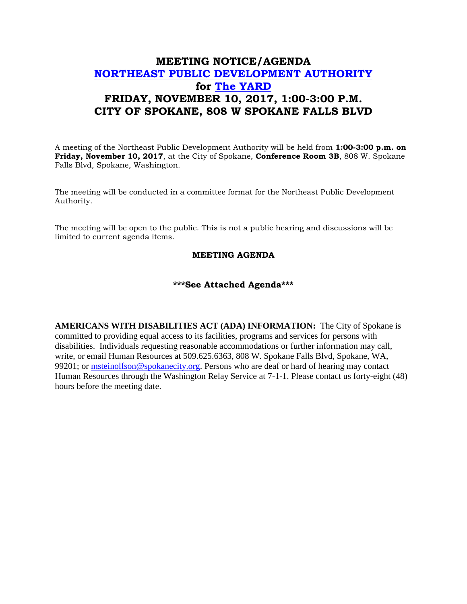## **MEETING NOTICE/AGENDA [NORTHEAST PUBLIC DEVELOPMENT AUTHORITY](https://beta.spokanecity.org/bcc/boards/northeast-public-development-authority/) for [The YARD](https://beta.spokanecity.org/projects/theyard/) FRIDAY, NOVEMBER 10, 2017, 1:00-3:00 P.M. CITY OF SPOKANE, 808 W SPOKANE FALLS BLVD**

A meeting of the Northeast Public Development Authority will be held from **1:00-3:00 p.m. on Friday, November 10, 2017**, at the City of Spokane, **Conference Room 3B**, 808 W. Spokane Falls Blvd, Spokane, Washington.

The meeting will be conducted in a committee format for the Northeast Public Development Authority.

The meeting will be open to the public. This is not a public hearing and discussions will be limited to current agenda items.

## **MEETING AGENDA**

## **\*\*\*See Attached Agenda\*\*\***

**AMERICANS WITH DISABILITIES ACT (ADA) INFORMATION:** The City of Spokane is committed to providing equal access to its facilities, programs and services for persons with disabilities. Individuals requesting reasonable accommodations or further information may call, write, or email Human Resources at 509.625.6363, 808 W. Spokane Falls Blvd, Spokane, WA, 99201; or [msteinolfson@spokanecity.org.](mailto:msteinolfson@spokanecity.org) Persons who are deaf or hard of hearing may contact Human Resources through the Washington Relay Service at 7-1-1. Please contact us forty-eight (48) hours before the meeting date.